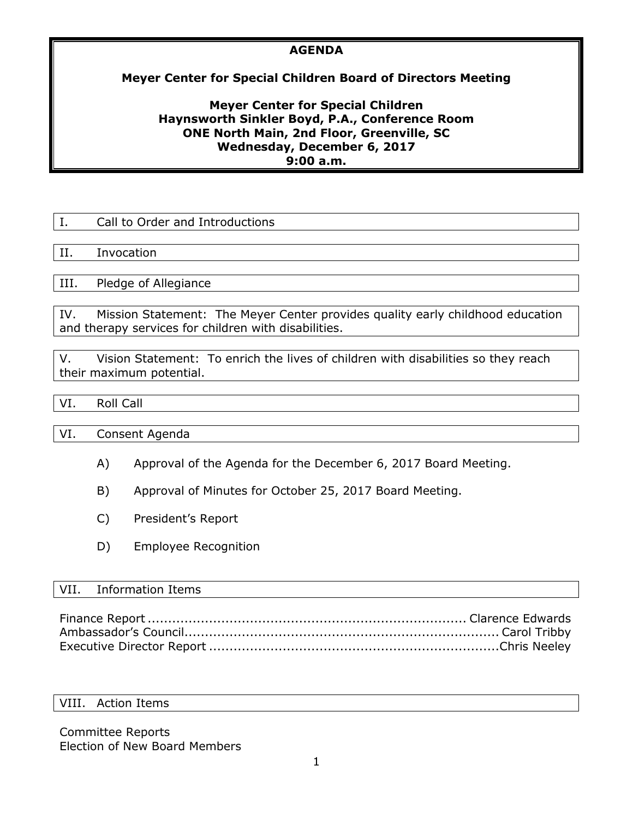## **AGENDA**

# **Meyer Center for Special Children Board of Directors Meeting**

## **Meyer Center for Special Children Haynsworth Sinkler Boyd, P.A., Conference Room ONE North Main, 2nd Floor, Greenville, SC Wednesday, December 6, 2017 9:00 a.m.**

| Call to Order and Introductions |
|---------------------------------|
|                                 |
| Invocation                      |
|                                 |
| Pledge of Allegiance            |
|                                 |
|                                 |

IV. Mission Statement: The Meyer Center provides quality early childhood education and therapy services for children with disabilities.

V. Vision Statement: To enrich the lives of children with disabilities so they reach their maximum potential.

## VI. Roll Call

VI. Consent Agenda

- A) Approval of the Agenda for the December 6, 2017 Board Meeting.
- B) Approval of Minutes for October 25, 2017 Board Meeting.
- C) President's Report
- D) Employee Recognition

### VII. Information Items

#### VIII. Action Items

Committee Reports Election of New Board Members